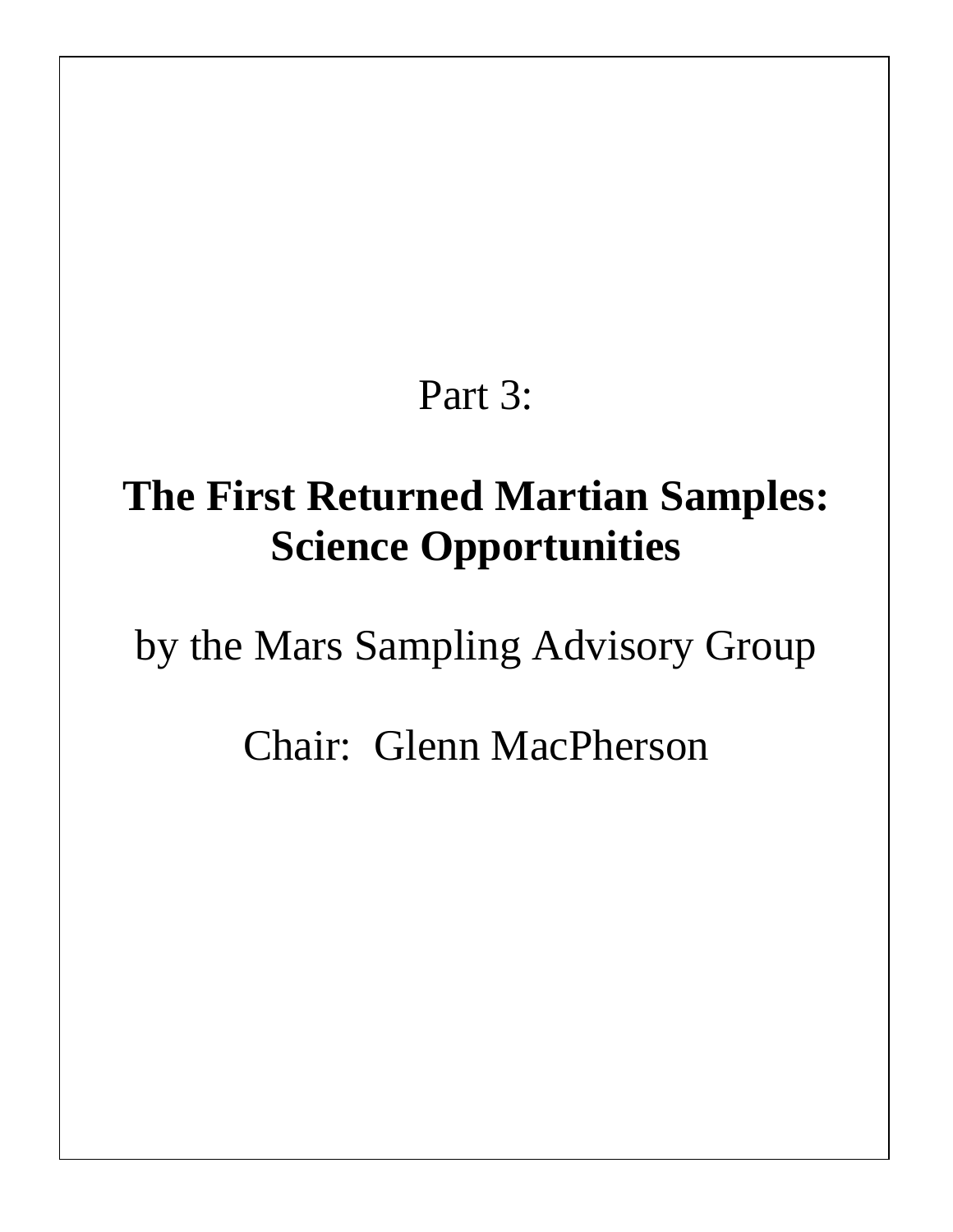# Part 3:

# **The First Returned Martian Samples: Science Opportunities**

by the Mars Sampling Advisory Group

Chair: Glenn MacPherson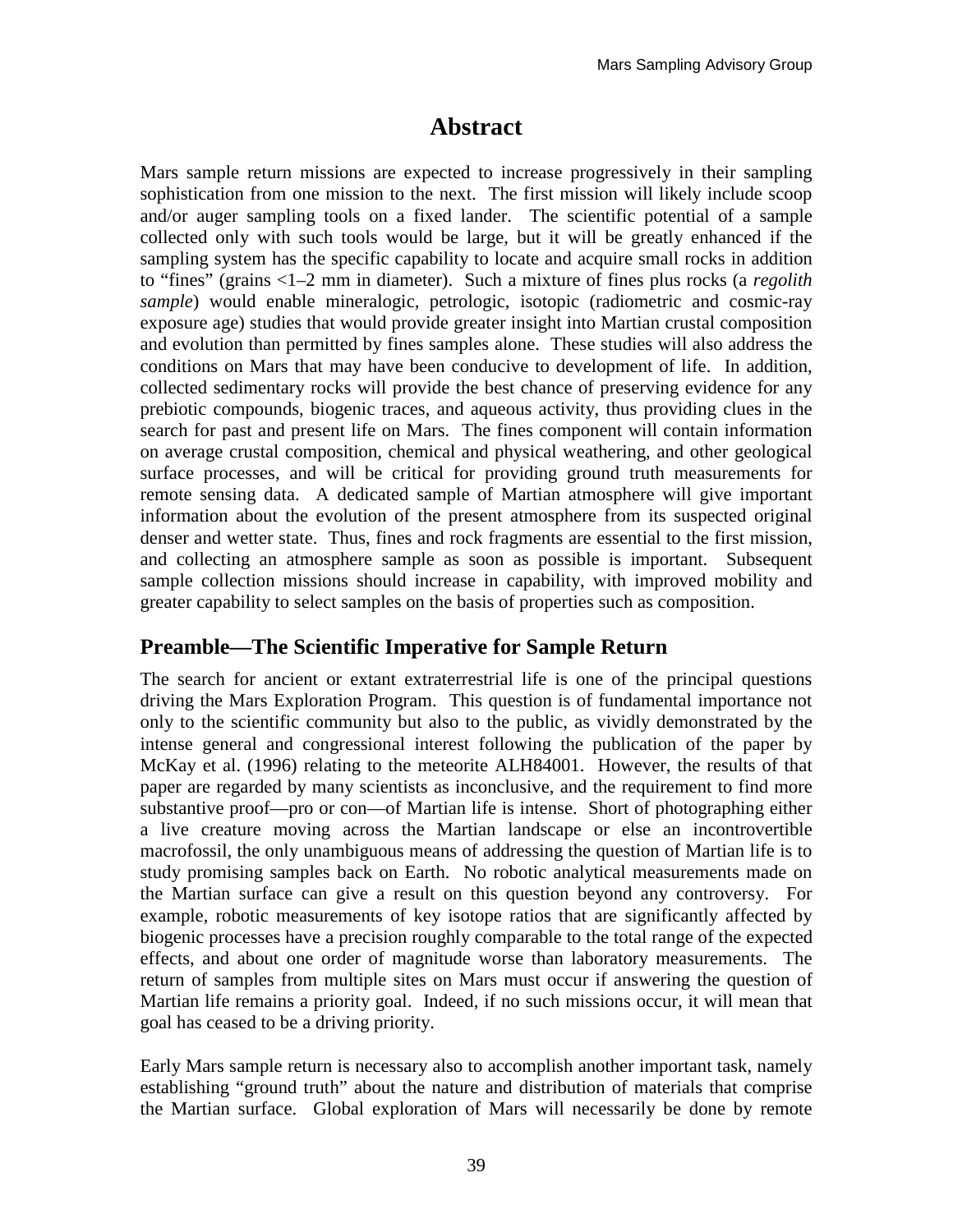# **Abstract**

Mars sample return missions are expected to increase progressively in their sampling sophistication from one mission to the next. The first mission will likely include scoop and/or auger sampling tools on a fixed lander. The scientific potential of a sample collected only with such tools would be large, but it will be greatly enhanced if the sampling system has the specific capability to locate and acquire small rocks in addition to "fines" (grains <1–2 mm in diameter). Such a mixture of fines plus rocks (a *regolith sample*) would enable mineralogic, petrologic, isotopic (radiometric and cosmic-ray exposure age) studies that would provide greater insight into Martian crustal composition and evolution than permitted by fines samples alone. These studies will also address the conditions on Mars that may have been conducive to development of life. In addition, collected sedimentary rocks will provide the best chance of preserving evidence for any prebiotic compounds, biogenic traces, and aqueous activity, thus providing clues in the search for past and present life on Mars. The fines component will contain information on average crustal composition, chemical and physical weathering, and other geological surface processes, and will be critical for providing ground truth measurements for remote sensing data. A dedicated sample of Martian atmosphere will give important information about the evolution of the present atmosphere from its suspected original denser and wetter state. Thus, fines and rock fragments are essential to the first mission, and collecting an atmosphere sample as soon as possible is important. Subsequent sample collection missions should increase in capability, with improved mobility and greater capability to select samples on the basis of properties such as composition.

## **Preamble—The Scientific Imperative for Sample Return**

The search for ancient or extant extraterrestrial life is one of the principal questions driving the Mars Exploration Program. This question is of fundamental importance not only to the scientific community but also to the public, as vividly demonstrated by the intense general and congressional interest following the publication of the paper by McKay et al. (1996) relating to the meteorite ALH84001. However, the results of that paper are regarded by many scientists as inconclusive, and the requirement to find more substantive proof—pro or con—of Martian life is intense. Short of photographing either a live creature moving across the Martian landscape or else an incontrovertible macrofossil, the only unambiguous means of addressing the question of Martian life is to study promising samples back on Earth. No robotic analytical measurements made on the Martian surface can give a result on this question beyond any controversy. For example, robotic measurements of key isotope ratios that are significantly affected by biogenic processes have a precision roughly comparable to the total range of the expected effects, and about one order of magnitude worse than laboratory measurements. The return of samples from multiple sites on Mars must occur if answering the question of Martian life remains a priority goal. Indeed, if no such missions occur, it will mean that goal has ceased to be a driving priority.

Early Mars sample return is necessary also to accomplish another important task, namely establishing "ground truth" about the nature and distribution of materials that comprise the Martian surface. Global exploration of Mars will necessarily be done by remote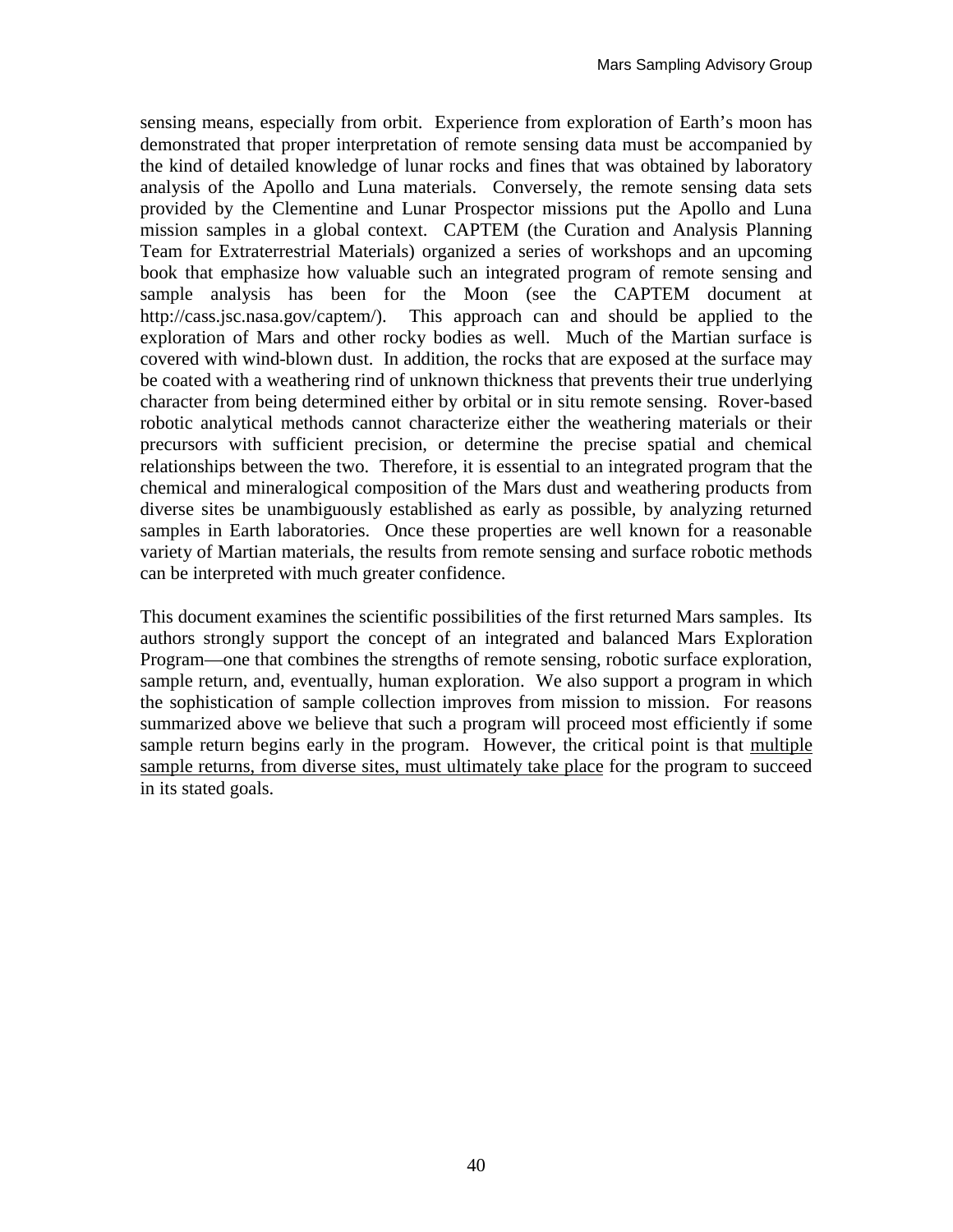sensing means, especially from orbit. Experience from exploration of Earth's moon has demonstrated that proper interpretation of remote sensing data must be accompanied by the kind of detailed knowledge of lunar rocks and fines that was obtained by laboratory analysis of the Apollo and Luna materials. Conversely, the remote sensing data sets provided by the Clementine and Lunar Prospector missions put the Apollo and Luna mission samples in a global context. CAPTEM (the Curation and Analysis Planning Team for Extraterrestrial Materials) organized a series of workshops and an upcoming book that emphasize how valuable such an integrated program of remote sensing and sample analysis has been for the Moon (see the CAPTEM document at http://cass.jsc.nasa.gov/captem/). This approach can and should be applied to the exploration of Mars and other rocky bodies as well. Much of the Martian surface is covered with wind-blown dust. In addition, the rocks that are exposed at the surface may be coated with a weathering rind of unknown thickness that prevents their true underlying character from being determined either by orbital or in situ remote sensing. Rover-based robotic analytical methods cannot characterize either the weathering materials or their precursors with sufficient precision, or determine the precise spatial and chemical relationships between the two. Therefore, it is essential to an integrated program that the chemical and mineralogical composition of the Mars dust and weathering products from diverse sites be unambiguously established as early as possible, by analyzing returned samples in Earth laboratories. Once these properties are well known for a reasonable variety of Martian materials, the results from remote sensing and surface robotic methods can be interpreted with much greater confidence.

This document examines the scientific possibilities of the first returned Mars samples. Its authors strongly support the concept of an integrated and balanced Mars Exploration Program—one that combines the strengths of remote sensing, robotic surface exploration, sample return, and, eventually, human exploration. We also support a program in which the sophistication of sample collection improves from mission to mission. For reasons summarized above we believe that such a program will proceed most efficiently if some sample return begins early in the program. However, the critical point is that multiple sample returns, from diverse sites, must ultimately take place for the program to succeed in its stated goals.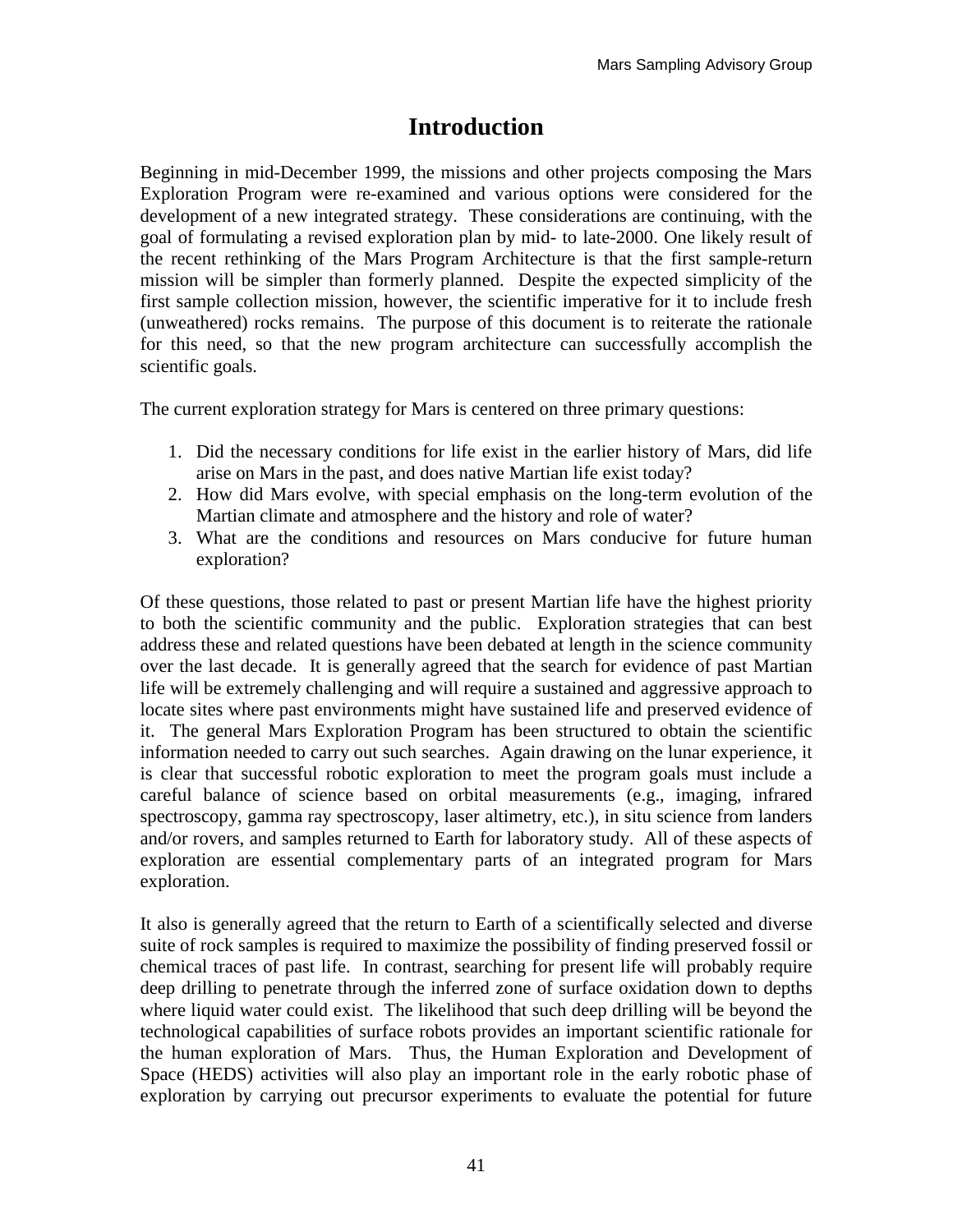# **Introduction**

Beginning in mid-December 1999, the missions and other projects composing the Mars Exploration Program were re-examined and various options were considered for the development of a new integrated strategy. These considerations are continuing, with the goal of formulating a revised exploration plan by mid- to late-2000. One likely result of the recent rethinking of the Mars Program Architecture is that the first sample-return mission will be simpler than formerly planned. Despite the expected simplicity of the first sample collection mission, however, the scientific imperative for it to include fresh (unweathered) rocks remains. The purpose of this document is to reiterate the rationale for this need, so that the new program architecture can successfully accomplish the scientific goals.

The current exploration strategy for Mars is centered on three primary questions:

- 1. Did the necessary conditions for life exist in the earlier history of Mars, did life arise on Mars in the past, and does native Martian life exist today?
- 2. How did Mars evolve, with special emphasis on the long-term evolution of the Martian climate and atmosphere and the history and role of water?
- 3. What are the conditions and resources on Mars conducive for future human exploration?

Of these questions, those related to past or present Martian life have the highest priority to both the scientific community and the public. Exploration strategies that can best address these and related questions have been debated at length in the science community over the last decade. It is generally agreed that the search for evidence of past Martian life will be extremely challenging and will require a sustained and aggressive approach to locate sites where past environments might have sustained life and preserved evidence of it. The general Mars Exploration Program has been structured to obtain the scientific information needed to carry out such searches. Again drawing on the lunar experience, it is clear that successful robotic exploration to meet the program goals must include a careful balance of science based on orbital measurements (e.g., imaging, infrared spectroscopy, gamma ray spectroscopy, laser altimetry, etc.), in situ science from landers and/or rovers, and samples returned to Earth for laboratory study. All of these aspects of exploration are essential complementary parts of an integrated program for Mars exploration.

It also is generally agreed that the return to Earth of a scientifically selected and diverse suite of rock samples is required to maximize the possibility of finding preserved fossil or chemical traces of past life. In contrast, searching for present life will probably require deep drilling to penetrate through the inferred zone of surface oxidation down to depths where liquid water could exist. The likelihood that such deep drilling will be beyond the technological capabilities of surface robots provides an important scientific rationale for the human exploration of Mars. Thus, the Human Exploration and Development of Space (HEDS) activities will also play an important role in the early robotic phase of exploration by carrying out precursor experiments to evaluate the potential for future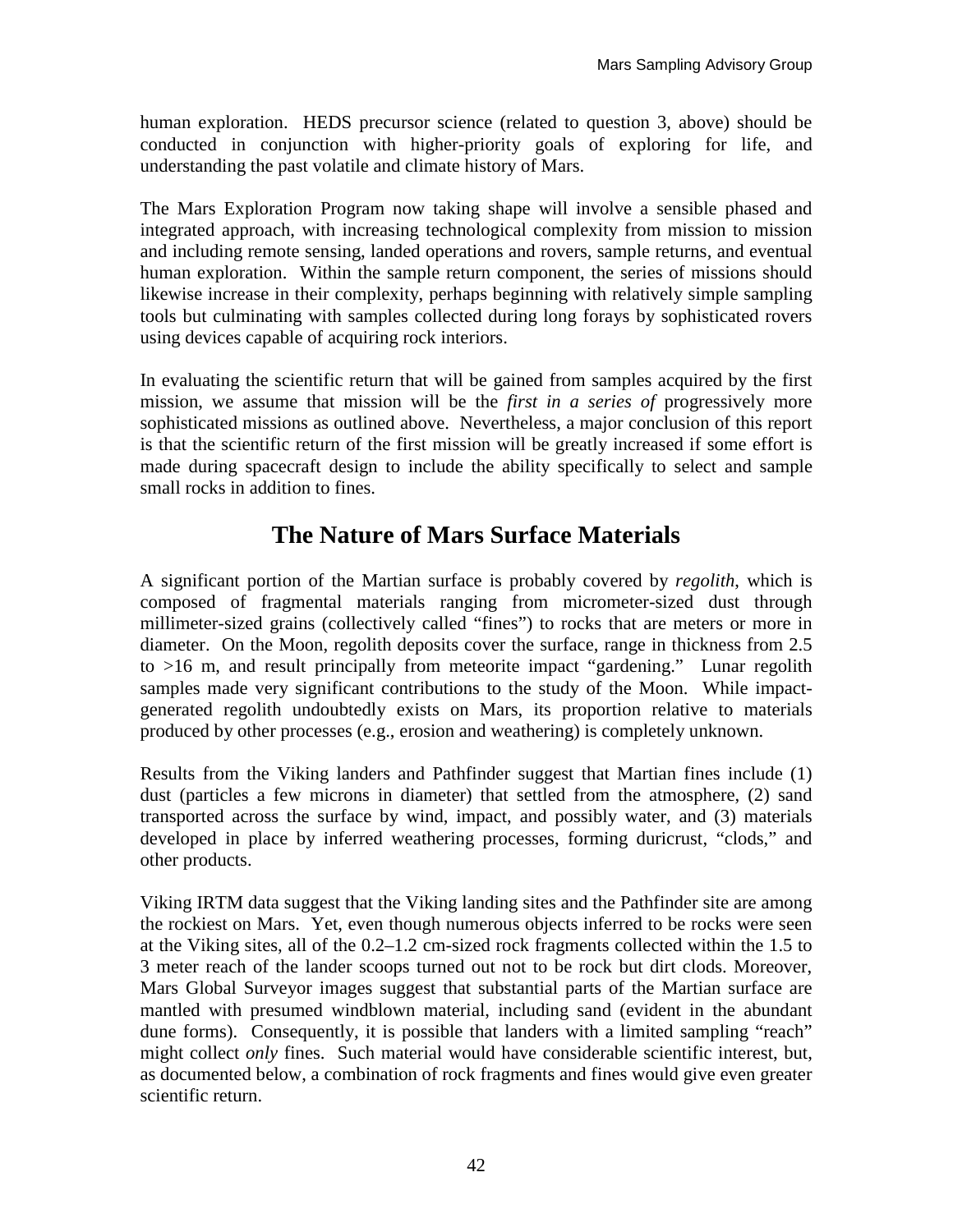human exploration. HEDS precursor science (related to question 3, above) should be conducted in conjunction with higher-priority goals of exploring for life, and understanding the past volatile and climate history of Mars.

The Mars Exploration Program now taking shape will involve a sensible phased and integrated approach, with increasing technological complexity from mission to mission and including remote sensing, landed operations and rovers, sample returns, and eventual human exploration. Within the sample return component, the series of missions should likewise increase in their complexity, perhaps beginning with relatively simple sampling tools but culminating with samples collected during long forays by sophisticated rovers using devices capable of acquiring rock interiors.

In evaluating the scientific return that will be gained from samples acquired by the first mission, we assume that mission will be the *first in a series of* progressively more sophisticated missions as outlined above. Nevertheless, a major conclusion of this report is that the scientific return of the first mission will be greatly increased if some effort is made during spacecraft design to include the ability specifically to select and sample small rocks in addition to fines.

# **The Nature of Mars Surface Materials**

A significant portion of the Martian surface is probably covered by *regolith*, which is composed of fragmental materials ranging from micrometer-sized dust through millimeter-sized grains (collectively called "fines") to rocks that are meters or more in diameter. On the Moon, regolith deposits cover the surface, range in thickness from 2.5 to >16 m, and result principally from meteorite impact "gardening." Lunar regolith samples made very significant contributions to the study of the Moon. While impactgenerated regolith undoubtedly exists on Mars, its proportion relative to materials produced by other processes (e.g., erosion and weathering) is completely unknown.

Results from the Viking landers and Pathfinder suggest that Martian fines include (1) dust (particles a few microns in diameter) that settled from the atmosphere, (2) sand transported across the surface by wind, impact, and possibly water, and (3) materials developed in place by inferred weathering processes, forming duricrust, "clods," and other products.

Viking IRTM data suggest that the Viking landing sites and the Pathfinder site are among the rockiest on Mars. Yet, even though numerous objects inferred to be rocks were seen at the Viking sites, all of the 0.2–1.2 cm-sized rock fragments collected within the 1.5 to 3 meter reach of the lander scoops turned out not to be rock but dirt clods. Moreover, Mars Global Surveyor images suggest that substantial parts of the Martian surface are mantled with presumed windblown material, including sand (evident in the abundant dune forms). Consequently, it is possible that landers with a limited sampling "reach" might collect *only* fines. Such material would have considerable scientific interest, but, as documented below, a combination of rock fragments and fines would give even greater scientific return.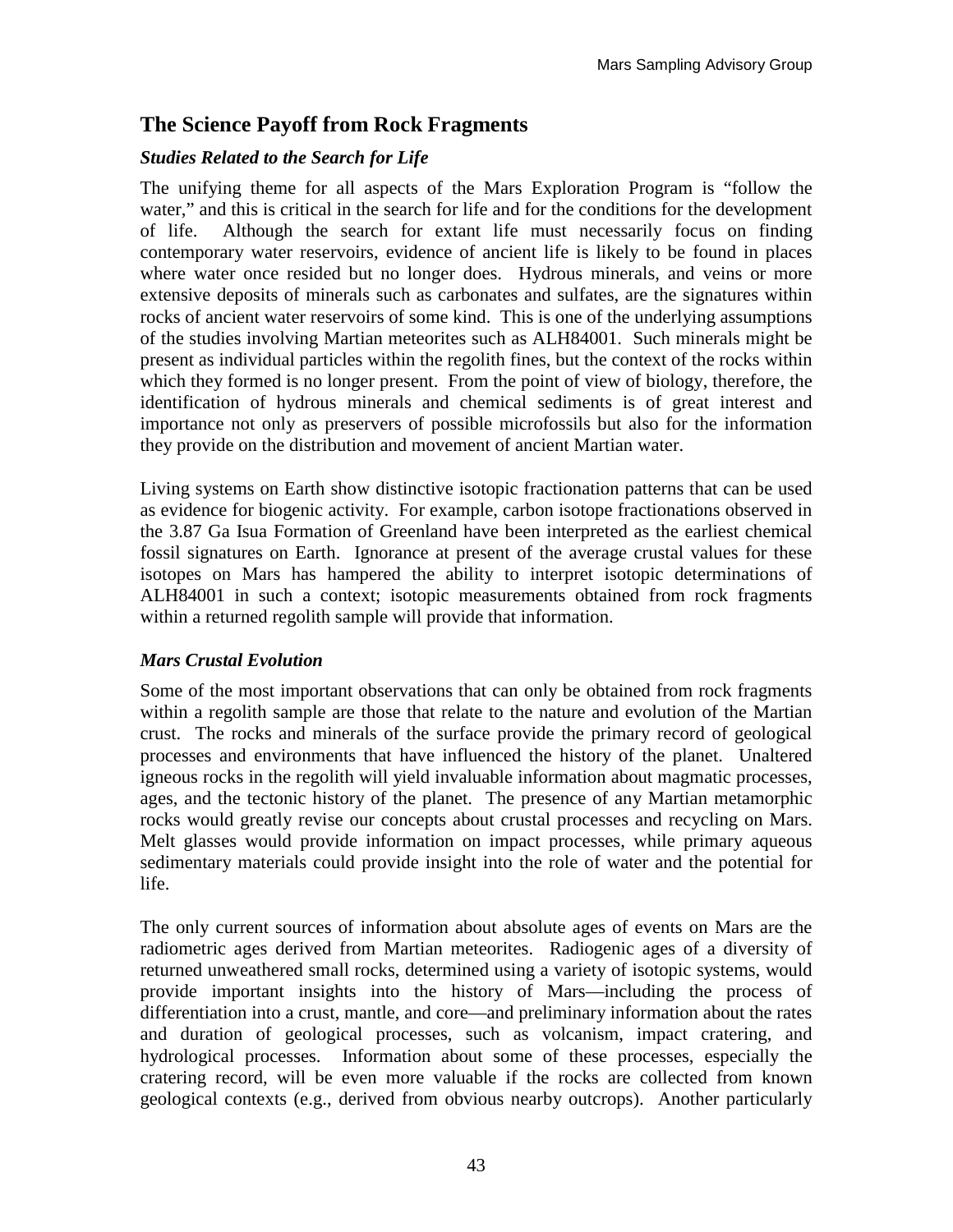### **The Science Payoff from Rock Fragments**

#### *Studies Related to the Search for Life*

The unifying theme for all aspects of the Mars Exploration Program is "follow the water," and this is critical in the search for life and for the conditions for the development of life. Although the search for extant life must necessarily focus on finding contemporary water reservoirs, evidence of ancient life is likely to be found in places where water once resided but no longer does. Hydrous minerals, and veins or more extensive deposits of minerals such as carbonates and sulfates, are the signatures within rocks of ancient water reservoirs of some kind. This is one of the underlying assumptions of the studies involving Martian meteorites such as ALH84001. Such minerals might be present as individual particles within the regolith fines, but the context of the rocks within which they formed is no longer present. From the point of view of biology, therefore, the identification of hydrous minerals and chemical sediments is of great interest and importance not only as preservers of possible microfossils but also for the information they provide on the distribution and movement of ancient Martian water.

Living systems on Earth show distinctive isotopic fractionation patterns that can be used as evidence for biogenic activity. For example, carbon isotope fractionations observed in the 3.87 Ga Isua Formation of Greenland have been interpreted as the earliest chemical fossil signatures on Earth. Ignorance at present of the average crustal values for these isotopes on Mars has hampered the ability to interpret isotopic determinations of ALH84001 in such a context; isotopic measurements obtained from rock fragments within a returned regolith sample will provide that information.

#### *Mars Crustal Evolution*

Some of the most important observations that can only be obtained from rock fragments within a regolith sample are those that relate to the nature and evolution of the Martian crust. The rocks and minerals of the surface provide the primary record of geological processes and environments that have influenced the history of the planet. Unaltered igneous rocks in the regolith will yield invaluable information about magmatic processes, ages, and the tectonic history of the planet. The presence of any Martian metamorphic rocks would greatly revise our concepts about crustal processes and recycling on Mars. Melt glasses would provide information on impact processes, while primary aqueous sedimentary materials could provide insight into the role of water and the potential for life.

The only current sources of information about absolute ages of events on Mars are the radiometric ages derived from Martian meteorites. Radiogenic ages of a diversity of returned unweathered small rocks, determined using a variety of isotopic systems, would provide important insights into the history of Mars—including the process of differentiation into a crust, mantle, and core—and preliminary information about the rates and duration of geological processes, such as volcanism, impact cratering, and hydrological processes. Information about some of these processes, especially the cratering record, will be even more valuable if the rocks are collected from known geological contexts (e.g., derived from obvious nearby outcrops). Another particularly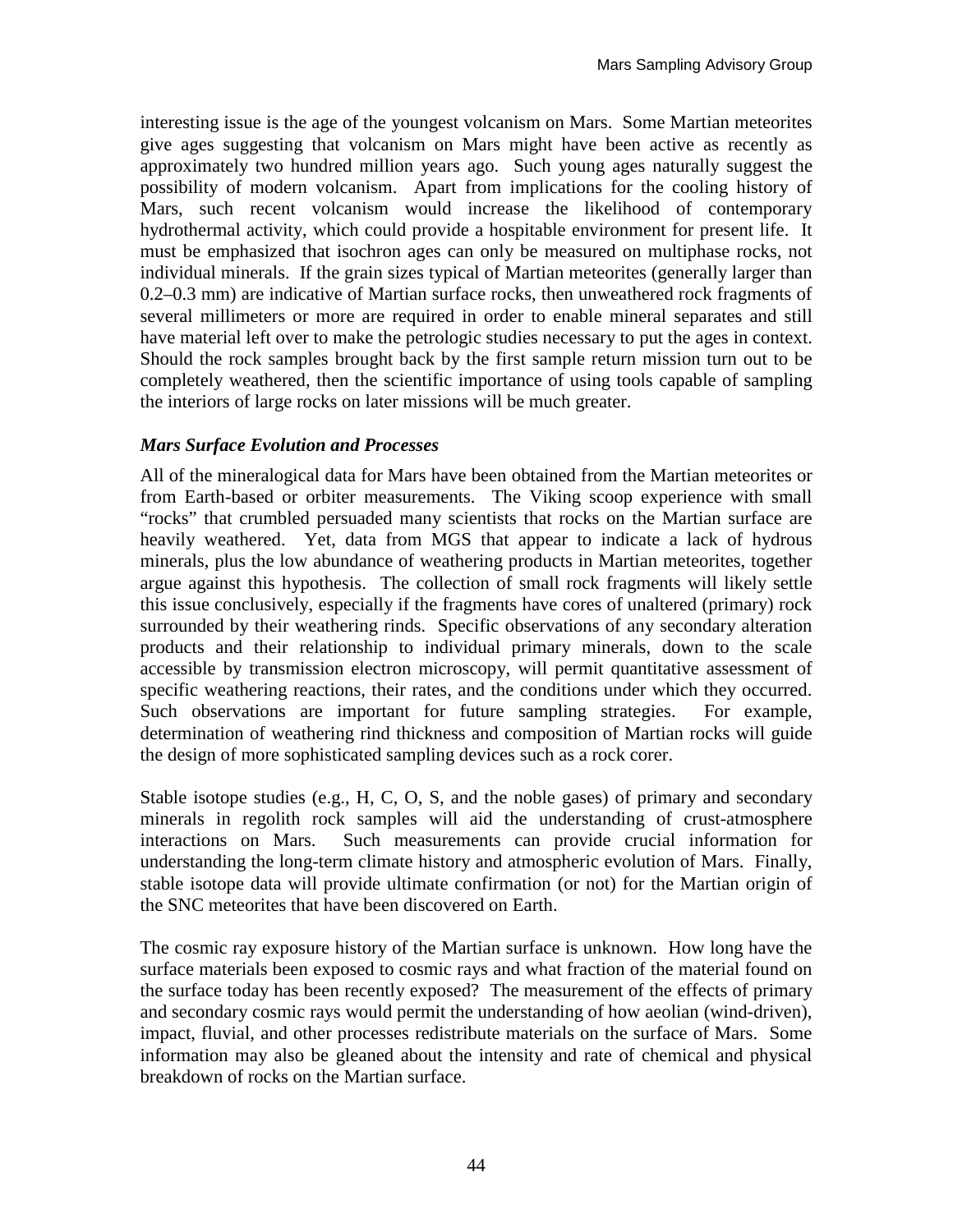interesting issue is the age of the youngest volcanism on Mars. Some Martian meteorites give ages suggesting that volcanism on Mars might have been active as recently as approximately two hundred million years ago. Such young ages naturally suggest the possibility of modern volcanism. Apart from implications for the cooling history of Mars, such recent volcanism would increase the likelihood of contemporary hydrothermal activity, which could provide a hospitable environment for present life. It must be emphasized that isochron ages can only be measured on multiphase rocks, not individual minerals. If the grain sizes typical of Martian meteorites (generally larger than 0.2–0.3 mm) are indicative of Martian surface rocks, then unweathered rock fragments of several millimeters or more are required in order to enable mineral separates and still have material left over to make the petrologic studies necessary to put the ages in context. Should the rock samples brought back by the first sample return mission turn out to be completely weathered, then the scientific importance of using tools capable of sampling the interiors of large rocks on later missions will be much greater.

#### *Mars Surface Evolution and Processes*

All of the mineralogical data for Mars have been obtained from the Martian meteorites or from Earth-based or orbiter measurements. The Viking scoop experience with small "rocks" that crumbled persuaded many scientists that rocks on the Martian surface are heavily weathered. Yet, data from MGS that appear to indicate a lack of hydrous minerals, plus the low abundance of weathering products in Martian meteorites, together argue against this hypothesis. The collection of small rock fragments will likely settle this issue conclusively, especially if the fragments have cores of unaltered (primary) rock surrounded by their weathering rinds. Specific observations of any secondary alteration products and their relationship to individual primary minerals, down to the scale accessible by transmission electron microscopy, will permit quantitative assessment of specific weathering reactions, their rates, and the conditions under which they occurred. Such observations are important for future sampling strategies. For example, determination of weathering rind thickness and composition of Martian rocks will guide the design of more sophisticated sampling devices such as a rock corer.

Stable isotope studies (e.g., H, C, O, S, and the noble gases) of primary and secondary minerals in regolith rock samples will aid the understanding of crust-atmosphere interactions on Mars. Such measurements can provide crucial information for understanding the long-term climate history and atmospheric evolution of Mars. Finally, stable isotope data will provide ultimate confirmation (or not) for the Martian origin of the SNC meteorites that have been discovered on Earth.

The cosmic ray exposure history of the Martian surface is unknown. How long have the surface materials been exposed to cosmic rays and what fraction of the material found on the surface today has been recently exposed? The measurement of the effects of primary and secondary cosmic rays would permit the understanding of how aeolian (wind-driven), impact, fluvial, and other processes redistribute materials on the surface of Mars. Some information may also be gleaned about the intensity and rate of chemical and physical breakdown of rocks on the Martian surface.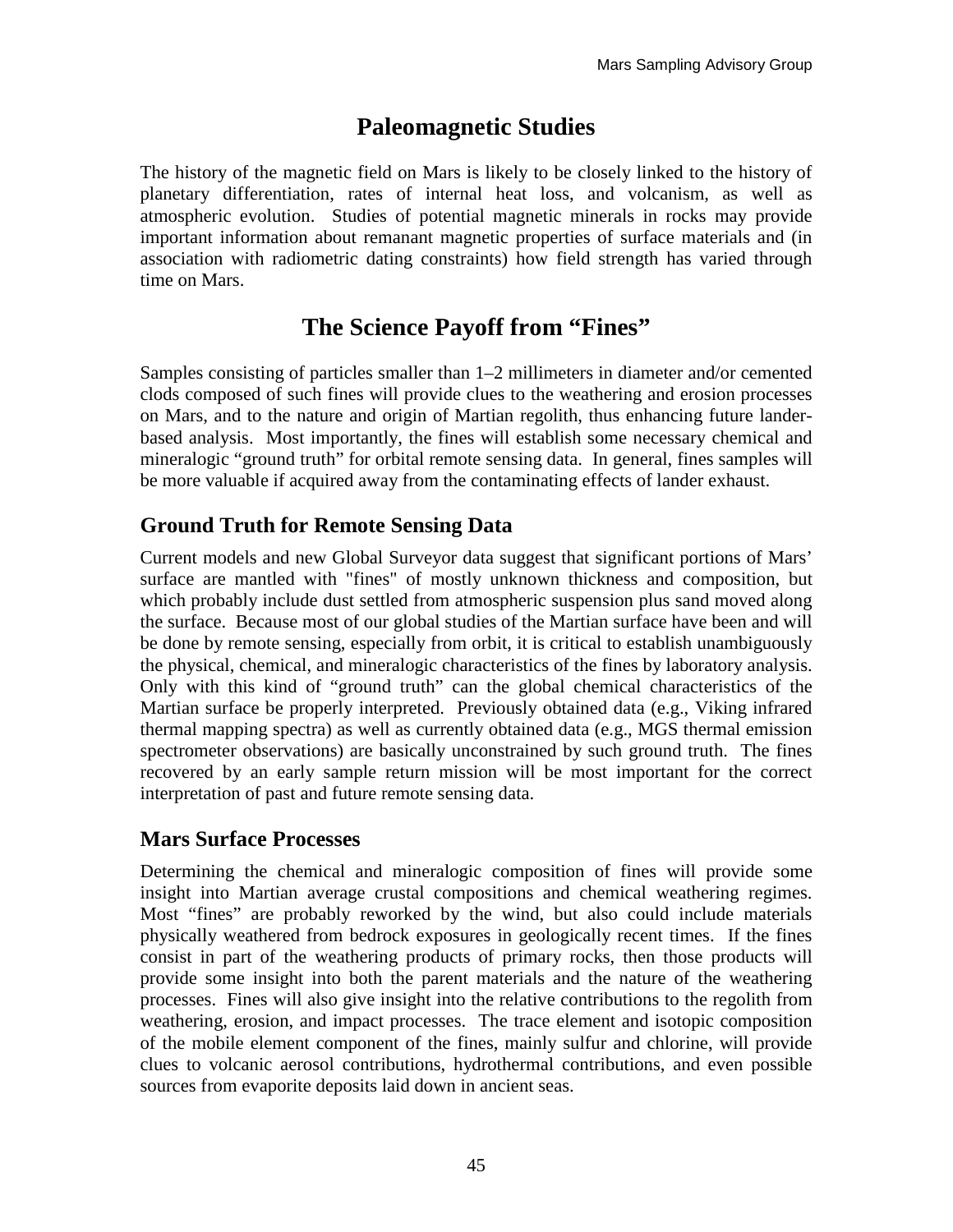# **Paleomagnetic Studies**

The history of the magnetic field on Mars is likely to be closely linked to the history of planetary differentiation, rates of internal heat loss, and volcanism, as well as atmospheric evolution. Studies of potential magnetic minerals in rocks may provide important information about remanant magnetic properties of surface materials and (in association with radiometric dating constraints) how field strength has varied through time on Mars.

# **The Science Payoff from "Fines"**

Samples consisting of particles smaller than 1–2 millimeters in diameter and/or cemented clods composed of such fines will provide clues to the weathering and erosion processes on Mars, and to the nature and origin of Martian regolith, thus enhancing future landerbased analysis. Most importantly, the fines will establish some necessary chemical and mineralogic "ground truth" for orbital remote sensing data. In general, fines samples will be more valuable if acquired away from the contaminating effects of lander exhaust.

## **Ground Truth for Remote Sensing Data**

Current models and new Global Surveyor data suggest that significant portions of Mars' surface are mantled with "fines" of mostly unknown thickness and composition, but which probably include dust settled from atmospheric suspension plus sand moved along the surface. Because most of our global studies of the Martian surface have been and will be done by remote sensing, especially from orbit, it is critical to establish unambiguously the physical, chemical, and mineralogic characteristics of the fines by laboratory analysis. Only with this kind of "ground truth" can the global chemical characteristics of the Martian surface be properly interpreted. Previously obtained data (e.g., Viking infrared thermal mapping spectra) as well as currently obtained data (e.g., MGS thermal emission spectrometer observations) are basically unconstrained by such ground truth. The fines recovered by an early sample return mission will be most important for the correct interpretation of past and future remote sensing data.

## **Mars Surface Processes**

Determining the chemical and mineralogic composition of fines will provide some insight into Martian average crustal compositions and chemical weathering regimes. Most "fines" are probably reworked by the wind, but also could include materials physically weathered from bedrock exposures in geologically recent times. If the fines consist in part of the weathering products of primary rocks, then those products will provide some insight into both the parent materials and the nature of the weathering processes. Fines will also give insight into the relative contributions to the regolith from weathering, erosion, and impact processes. The trace element and isotopic composition of the mobile element component of the fines, mainly sulfur and chlorine, will provide clues to volcanic aerosol contributions, hydrothermal contributions, and even possible sources from evaporite deposits laid down in ancient seas.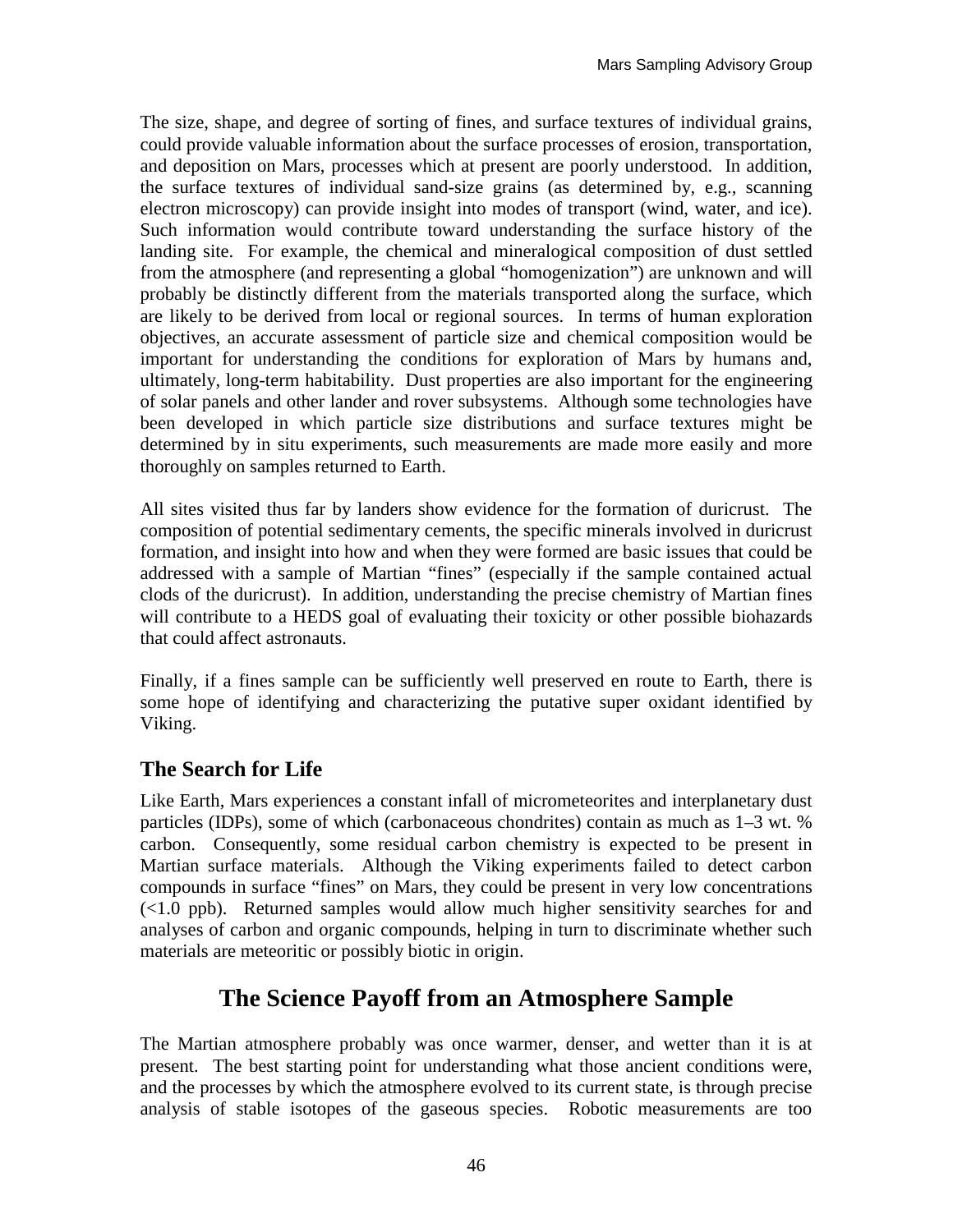The size, shape, and degree of sorting of fines, and surface textures of individual grains, could provide valuable information about the surface processes of erosion, transportation, and deposition on Mars, processes which at present are poorly understood. In addition, the surface textures of individual sand-size grains (as determined by, e.g., scanning electron microscopy) can provide insight into modes of transport (wind, water, and ice). Such information would contribute toward understanding the surface history of the landing site. For example, the chemical and mineralogical composition of dust settled from the atmosphere (and representing a global "homogenization") are unknown and will probably be distinctly different from the materials transported along the surface, which are likely to be derived from local or regional sources. In terms of human exploration objectives, an accurate assessment of particle size and chemical composition would be important for understanding the conditions for exploration of Mars by humans and, ultimately, long-term habitability. Dust properties are also important for the engineering of solar panels and other lander and rover subsystems. Although some technologies have been developed in which particle size distributions and surface textures might be determined by in situ experiments, such measurements are made more easily and more thoroughly on samples returned to Earth.

All sites visited thus far by landers show evidence for the formation of duricrust. The composition of potential sedimentary cements, the specific minerals involved in duricrust formation, and insight into how and when they were formed are basic issues that could be addressed with a sample of Martian "fines" (especially if the sample contained actual clods of the duricrust). In addition, understanding the precise chemistry of Martian fines will contribute to a HEDS goal of evaluating their toxicity or other possible biohazards that could affect astronauts.

Finally, if a fines sample can be sufficiently well preserved en route to Earth, there is some hope of identifying and characterizing the putative super oxidant identified by Viking.

## **The Search for Life**

Like Earth, Mars experiences a constant infall of micrometeorites and interplanetary dust particles (IDPs), some of which (carbonaceous chondrites) contain as much as 1–3 wt. % carbon. Consequently, some residual carbon chemistry is expected to be present in Martian surface materials. Although the Viking experiments failed to detect carbon compounds in surface "fines" on Mars, they could be present in very low concentrations (<1.0 ppb). Returned samples would allow much higher sensitivity searches for and analyses of carbon and organic compounds, helping in turn to discriminate whether such materials are meteoritic or possibly biotic in origin.

## **The Science Payoff from an Atmosphere Sample**

The Martian atmosphere probably was once warmer, denser, and wetter than it is at present. The best starting point for understanding what those ancient conditions were, and the processes by which the atmosphere evolved to its current state, is through precise analysis of stable isotopes of the gaseous species. Robotic measurements are too